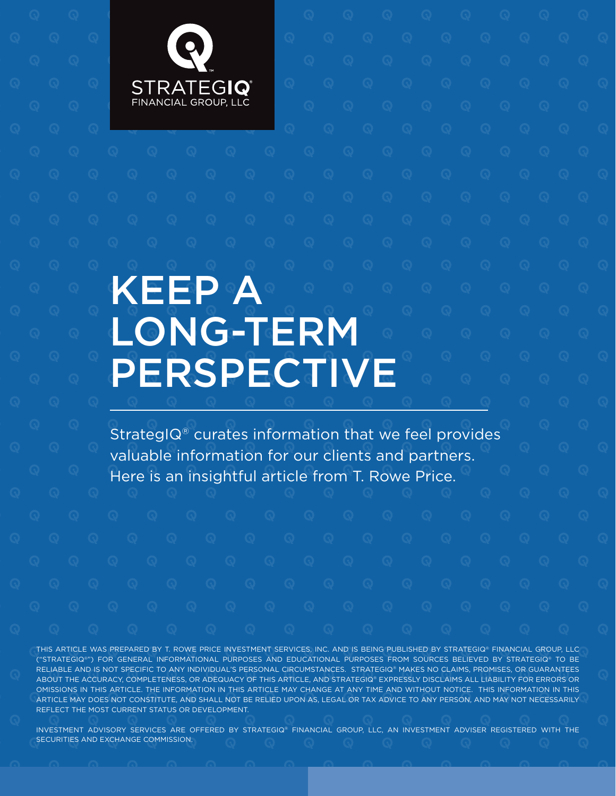

# KEEP A LONG-TERM **PERSPECTIVE**

StrategIQ® curates information that we feel provides valuable information for our clients and partners. Here is an insightful article from T. Rowe Price.

THIS ARTICLE WAS PREPARED BY T. ROWE PRICE INVESTMENT SERVICES, INC. AND IS BEING PUBLISHED BY STRATEGIQ® FINANCIAL GROUP, LLC ("STRATEGIQ®") FOR GENERAL INFORMATIONAL PURPOSES AND EDUCATIONAL PURPOSES FROM SOURCES BELIEVED BY STRATEGIQ® TO BE RELIABLE AND IS NOT SPECIFIC TO ANY INDIVIDUAL'S PERSONAL CIRCUMSTANCES. STRATEGIQ® MAKES NO CLAIMS, PROMISES, OR GUARANTEES ABOUT THE ACCURACY, COMPLETENESS, OR ADEQUACY OF THIS ARTICLE, AND STRATEGIQ® EXPRESSLY DISCLAIMS ALL LIABILITY FOR ERRORS OR OMISSIONS IN THIS ARTICLE. THE INFORMATION IN THIS ARTICLE MAY CHANGE AT ANY TIME AND WITHOUT NOTICE. THIS INFORMATION IN THIS ARTICLE MAY DOES NOT CONSTITUTE, AND SHALL NOT BE RELIED UPON AS, LEGAL OR TAX ADVICE TO ANY PERSON, AND MAY NOT NECESSARILY REFLECT THE MOST CURRENT STATUS OR DEVELOPMENT.

INVESTMENT ADVISORY SERVICES ARE OFFERED BY STRATEGIQ® FINANCIAL GROUP, LLC, AN INVESTMENT ADVISER REGISTERED WITH THE SECURITIES AND EXCHANGE COMMISSION.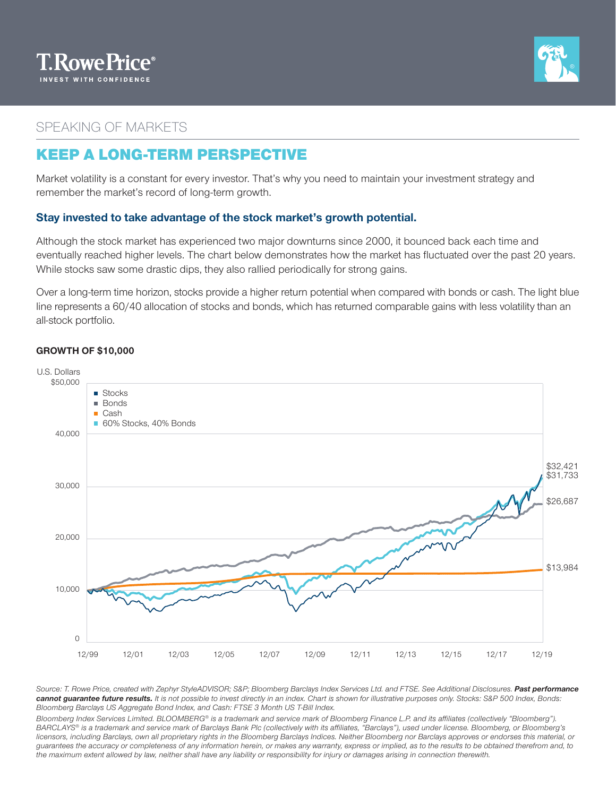



## SPEAKING OF MARKETS

## KEEP A LONG-TERM PERSPECTIVE

Market volatility is a constant for every investor. That's why you need to maintain your investment strategy and remember the market's record of long-term growth.

### **Stay invested to take advantage of the stock market's growth potential.**

Although the stock market has experienced two major downturns since 2000, it bounced back each time and eventually reached higher levels. The chart below demonstrates how the market has fluctuated over the past 20 years. While stocks saw some drastic dips, they also rallied periodically for strong gains.

Over a long-term time horizon, stocks provide a higher return potential when compared with bonds or cash. The light blue line represents a 60/40 allocation of stocks and bonds, which has returned comparable gains with less volatility than an all-stock portfolio.

#### **GROWTH OF \$10,000**



*Source: T. Rowe Price, created with Zephyr StyleADVISOR; S&P; Bloomberg Barclays Index Services Ltd. and FTSE. See Additional Disclosures. Past performance cannot guarantee future results. It is not possible to invest directly in an index. Chart is shown for illustrative purposes only. Stocks: S&P 500 Index, Bonds: Bloomberg Barclays US Aggregate Bond Index, and Cash: FTSE 3 Month US T-Bill Index.*

*Bloomberg Index Services Limited. BLOOMBERG® is a trademark and service mark of Bloomberg Finance L.P. and its affiliates (collectively "Bloomberg"). BARCLAYS® is a trademark and service mark of Barclays Bank Plc (collectively with its affiliates, "Barclays"), used under license. Bloomberg, or Bloomberg's licensors, including Barclays, own all proprietary rights in the Bloomberg Barclays Indices. Neither Bloomberg nor Barclays approves or endorses this material, or guarantees the accuracy or completeness of any information herein, or makes any warranty, express or implied, as to the results to be obtained therefrom and, to the maximum extent allowed by law, neither shall have any liability or responsibility for injury or damages arising in connection therewith.*